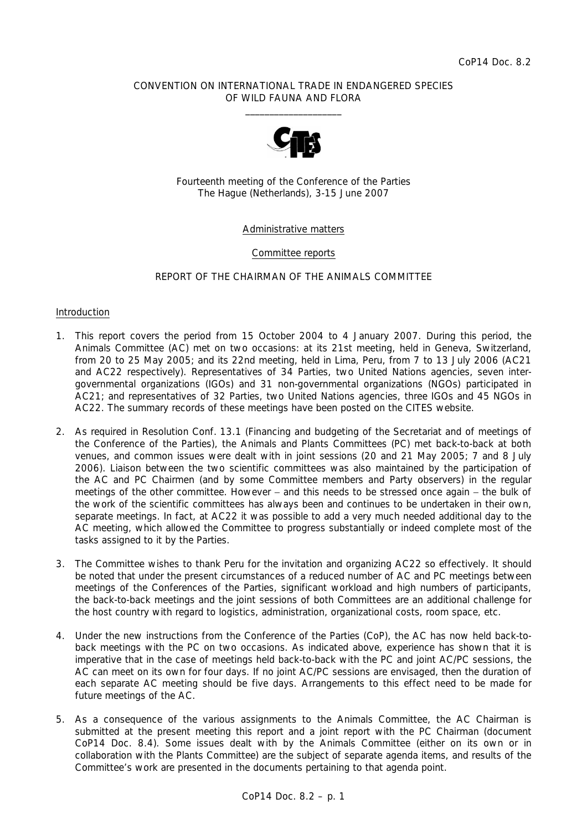### CONVENTION ON INTERNATIONAL TRADE IN ENDANGERED SPECIES OF WILD FAUNA AND FLORA  $\frac{1}{2}$  , and the set of the set of the set of the set of the set of the set of the set of the set of the set of the set of the set of the set of the set of the set of the set of the set of the set of the set of the set



Fourteenth meeting of the Conference of the Parties The Hague (Netherlands), 3-15 June 2007

## Administrative matters

### Committee reports

### REPORT OF THE CHAIRMAN OF THE ANIMALS COMMITTEE

#### Introduction

- 1. This report covers the period from 15 October 2004 to 4 January 2007. During this period, the Animals Committee (AC) met on two occasions: at its 21st meeting, held in Geneva, Switzerland, from 20 to 25 May 2005; and its 22nd meeting, held in Lima, Peru, from 7 to 13 July 2006 (AC21 and AC22 respectively). Representatives of 34 Parties, two United Nations agencies, seven intergovernmental organizations (IGOs) and 31 non-governmental organizations (NGOs) participated in AC21; and representatives of 32 Parties, two United Nations agencies, three IGOs and 45 NGOs in AC22. The summary records of these meetings have been posted on the CITES website.
- 2. As required in Resolution Conf. 13.1 (Financing and budgeting of the Secretariat and of meetings of the Conference of the Parties), the Animals and Plants Committees (PC) met back-to-back at both venues, and common issues were dealt with in joint sessions (20 and 21 May 2005; 7 and 8 July 2006). Liaison between the two scientific committees was also maintained by the participation of the AC and PC Chairmen (and by some Committee members and Party observers) in the regular meetings of the other committee. However – and this needs to be stressed once again – the bulk of the work of the scientific committees has always been and continues to be undertaken in their own, separate meetings. In fact, at AC22 it was possible to add a very much needed additional day to the AC meeting, which allowed the Committee to progress substantially or indeed complete most of the tasks assigned to it by the Parties.
- 3. The Committee wishes to thank Peru for the invitation and organizing AC22 so effectively. It should be noted that under the present circumstances of a reduced number of AC and PC meetings between meetings of the Conferences of the Parties, significant workload and high numbers of participants, the back-to-back meetings and the joint sessions of both Committees are an additional challenge for the host country with regard to logistics, administration, organizational costs, room space, etc.
- 4. Under the new instructions from the Conference of the Parties (CoP), the AC has now held back-toback meetings with the PC on two occasions. As indicated above, experience has shown that it is imperative that in the case of meetings held back-to-back with the PC and joint AC/PC sessions, the AC can meet on its own for four days. If no joint AC/PC sessions are envisaged, then the duration of each separate AC meeting should be five days. Arrangements to this effect need to be made for future meetings of the AC.
- 5. As a consequence of the various assignments to the Animals Committee, the AC Chairman is submitted at the present meeting this report and a joint report with the PC Chairman (document CoP14 Doc. 8.4). Some issues dealt with by the Animals Committee (either on its own or in collaboration with the Plants Committee) are the subject of separate agenda items, and results of the Committee's work are presented in the documents pertaining to that agenda point.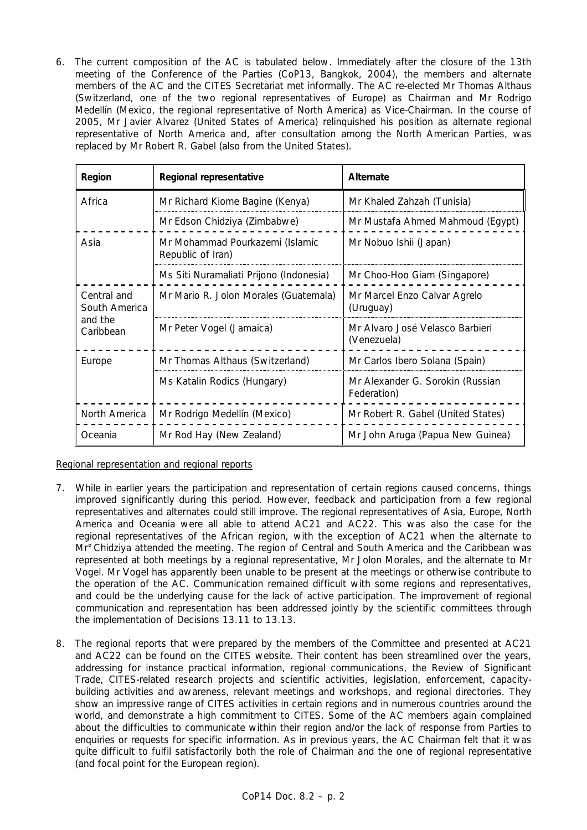6. The current composition of the AC is tabulated below. Immediately after the closure of the 13th meeting of the Conference of the Parties (CoP13, Bangkok, 2004), the members and alternate members of the AC and the CITES Secretariat met informally. The AC re-elected Mr Thomas Althaus (Switzerland, one of the two regional representatives of Europe) as Chairman and Mr Rodrigo Medellín (Mexico, the regional representative of North America) as Vice-Chairman. In the course of 2005, Mr Javier Alvarez (United States of America) relinquished his position as alternate regional representative of North America and, after consultation among the North American Parties, was replaced by Mr Robert R. Gabel (also from the United States).

| Region                                               | Regional representative                              | Alternate                                       |
|------------------------------------------------------|------------------------------------------------------|-------------------------------------------------|
| Africa                                               | Mr Richard Kiome Bagine (Kenya)                      | Mr Khaled Zahzah (Tunisia)                      |
|                                                      | Mr Edson Chidziya (Zimbabwe)                         | Mr Mustafa Ahmed Mahmoud (Egypt)                |
| Asia                                                 | Mr Mohammad Pourkazemi (Islamic<br>Republic of Iran) | Mr Nobuo Ishii (Japan)                          |
|                                                      | Ms Siti Nuramaliati Prijono (Indonesia)              | Mr Choo-Hoo Giam (Singapore)                    |
| Central and<br>South America<br>and the<br>Caribbean | Mr Mario R. Jolon Morales (Guatemala)                | Mr Marcel Enzo Calvar Agrelo<br>(Uruguay)       |
|                                                      | Mr Peter Vogel (Jamaica)                             | Mr Alvaro José Velasco Barbieri<br>(Venezuela)  |
| Europe                                               | Mr Thomas Althaus (Switzerland)                      | Mr Carlos Ibero Solana (Spain)                  |
|                                                      | Ms Katalin Rodics (Hungary)                          | Mr Alexander G. Sorokin (Russian<br>Federation) |
| North America                                        | Mr Rodrigo Medellín (Mexico)                         | Mr Robert R. Gabel (United States)              |
| Oceania                                              | Mr Rod Hay (New Zealand)                             | Mr John Aruga (Papua New Guinea)                |

Regional representation and regional reports

- 7. While in earlier years the participation and representation of certain regions caused concerns, things improved significantly during this period. However, feedback and participation from a few regional representatives and alternates could still improve. The regional representatives of Asia, Europe, North America and Oceania were all able to attend AC21 and AC22. This was also the case for the regional representatives of the African region, with the exception of AC21 when the alternate to Mr°Chidziya attended the meeting. The region of Central and South America and the Caribbean was represented at both meetings by a regional representative, Mr Jolon Morales, and the alternate to Mr Vogel. Mr Vogel has apparently been unable to be present at the meetings or otherwise contribute to the operation of the AC. Communication remained difficult with some regions and representatives, and could be the underlying cause for the lack of active participation. The improvement of regional communication and representation has been addressed jointly by the scientific committees through the implementation of Decisions 13.11 to 13.13.
- 8. The regional reports that were prepared by the members of the Committee and presented at AC21 and AC22 can be found on the CITES website. Their content has been streamlined over the years, addressing for instance practical information, regional communications, the Review of Significant Trade, CITES-related research projects and scientific activities, legislation, enforcement, capacitybuilding activities and awareness, relevant meetings and workshops, and regional directories. They show an impressive range of CITES activities in certain regions and in numerous countries around the world, and demonstrate a high commitment to CITES. Some of the AC members again complained about the difficulties to communicate within their region and/or the lack of response from Parties to enquiries or requests for specific information. As in previous years, the AC Chairman felt that it was quite difficult to fulfil satisfactorily both the role of Chairman and the one of regional representative (and focal point for the European region).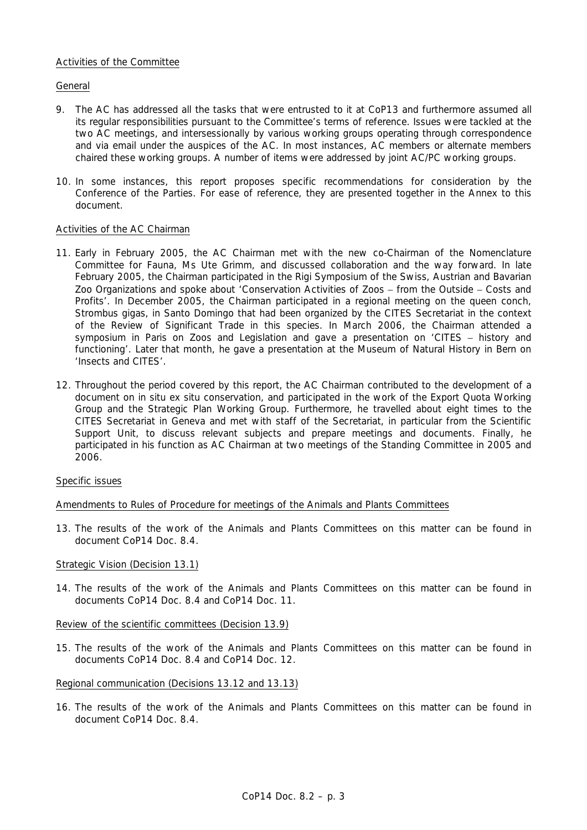## Activities of the Committee

## General

- 9. The AC has addressed all the tasks that were entrusted to it at CoP13 and furthermore assumed all its regular responsibilities pursuant to the Committee's terms of reference. Issues were tackled at the two AC meetings, and intersessionally by various working groups operating through correspondence and via email under the auspices of the AC. In most instances, AC members or alternate members chaired these working groups. A number of items were addressed by joint AC/PC working groups.
- 10. In some instances, this report proposes specific recommendations for consideration by the Conference of the Parties. For ease of reference, they are presented together in the Annex to this document.

# Activities of the AC Chairman

- 11. Early in February 2005, the AC Chairman met with the new co-Chairman of the Nomenclature Committee for Fauna, Ms Ute Grimm, and discussed collaboration and the way forward. In late February 2005, the Chairman participated in the Rigi Symposium of the Swiss, Austrian and Bavarian Zoo Organizations and spoke about 'Conservation Activities of Zoos − from the Outside − Costs and Profits'. In December 2005, the Chairman participated in a regional meeting on the queen conch, *Strombus gigas*, in Santo Domingo that had been organized by the CITES Secretariat in the context of the Review of Significant Trade in this species. In March 2006, the Chairman attended a symposium in Paris on Zoos and Legislation and gave a presentation on 'CITES – history and functioning'. Later that month, he gave a presentation at the Museum of Natural History in Bern on 'Insects and CITES'.
- 12. Throughout the period covered by this report, the AC Chairman contributed to the development of a document on *in situ ex situ* conservation, and participated in the work of the Export Quota Working Group and the Strategic Plan Working Group. Furthermore, he travelled about eight times to the CITES Secretariat in Geneva and met with staff of the Secretariat, in particular from the Scientific Support Unit, to discuss relevant subjects and prepare meetings and documents. Finally, he participated in his function as AC Chairman at two meetings of the Standing Committee in 2005 and 2006.

## Specific issues

## Amendments to Rules of Procedure for meetings of the Animals and Plants Committees

13. The results of the work of the Animals and Plants Committees on this matter can be found in document CoP14 Doc. 8.4.

## Strategic Vision (Decision 13.1)

14. The results of the work of the Animals and Plants Committees on this matter can be found in documents CoP14 Doc. 8.4 and CoP14 Doc. 11.

## Review of the scientific committees (Decision 13.9)

15. The results of the work of the Animals and Plants Committees on this matter can be found in documents CoP14 Doc. 8.4 and CoP14 Doc. 12.

## Regional communication (Decisions 13.12 and 13.13)

16. The results of the work of the Animals and Plants Committees on this matter can be found in document CoP14 Doc. 8.4.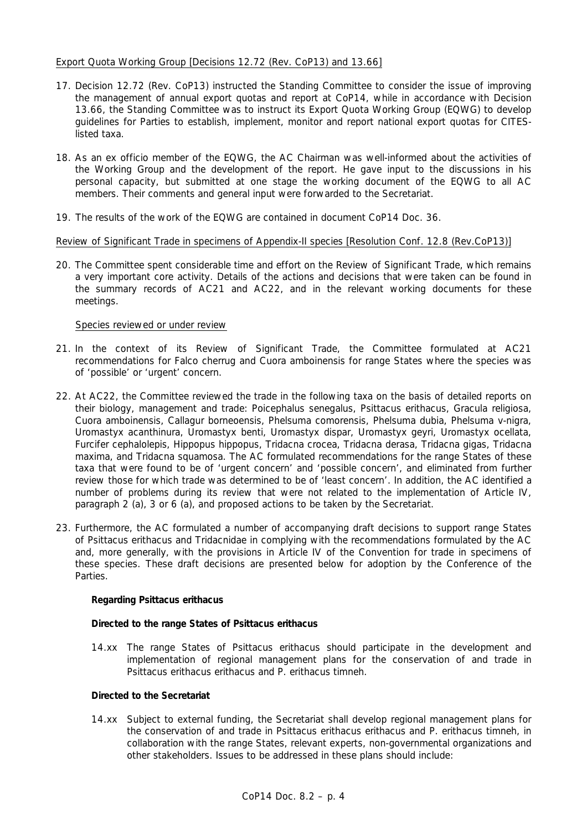## Export Quota Working Group [Decisions 12.72 (Rev. CoP13) and 13.66]

- 17. Decision 12.72 (Rev. CoP13) instructed the Standing Committee to consider the issue of improving the management of annual export quotas and report at CoP14, while in accordance with Decision 13.66, the Standing Committee was to instruct its Export Quota Working Group (EQWG) to develop guidelines for Parties to establish, implement, monitor and report national export quotas for CITESlisted taxa.
- 18. As an *ex officio* member of the EQWG, the AC Chairman was well-informed about the activities of the Working Group and the development of the report. He gave input to the discussions in his personal capacity, but submitted at one stage the working document of the EQWG to all AC members. Their comments and general input were forwarded to the Secretariat.
- 19. The results of the work of the EQWG are contained in document CoP14 Doc. 36.

# Review of Significant Trade in specimens of Appendix-II species [Resolution Conf. 12.8 (Rev.CoP13)]

20. The Committee spent considerable time and effort on the Review of Significant Trade, which remains a very important core activity. Details of the actions and decisions that were taken can be found in the summary records of AC21 and AC22, and in the relevant working documents for these meetings.

## Species reviewed or under review

- 21. In the context of its Review of Significant Trade, the Committee formulated at AC21 recommendations for *Falco cherrug* and *Cuora amboinensis* for range States where the species was of 'possible' or 'urgent' concern.
- 22. At AC22, the Committee reviewed the trade in the following taxa on the basis of detailed reports on their biology, management and trade: *Poicephalus senegalus, Psittacus erithacus, Gracula religiosa, Cuora amboinensis, Callagur borneoensis, Phelsuma comorensis, Phelsuma dubia, Phelsuma v-nigra, Uromastyx acanthinura, Uromastyx benti, Uromastyx dispar, Uromastyx geyri, Uromastyx ocellata, Furcifer cephalolepis, Hippopus hippopus, Tridacna crocea, Tridacna derasa, Tridacna gigas, Tridacna maxima,* and *Tridacna squamosa*. The AC formulated recommendations for the range States of these taxa that were found to be of 'urgent concern' and 'possible concern', and eliminated from further review those for which trade was determined to be of 'least concern'. In addition, the AC identified a number of problems during its review that were not related to the implementation of Article IV, paragraph 2 (a), 3 or 6 (a), and proposed actions to be taken by the Secretariat.
- 23. Furthermore, the AC formulated a number of accompanying draft decisions to support range States of *Psittacus erithacus* and Tridacnidae in complying with the recommendations formulated by the AC and, more generally, with the provisions in Article IV of the Convention for trade in specimens of these species. These draft decisions are presented below for adoption by the Conference of the Parties.

## **Regarding** *Psittacus erithacus*

## *Directed to the range States of* **Psittacus erithacus**

14.xx The range States of *Psittacus erithacus* should participate in the development and implementation of regional management plans for the conservation of and trade in *Psittacus erithacus erithacus* and *P. erithacus timneh*.

## *Directed to the Secretariat*

14.xx Subject to external funding, the Secretariat shall develop regional management plans for the conservation of and trade in *Psittacus erithacus erithacus* and *P. erithacus timneh*, in collaboration with the range States, relevant experts, non-governmental organizations and other stakeholders. Issues to be addressed in these plans should include: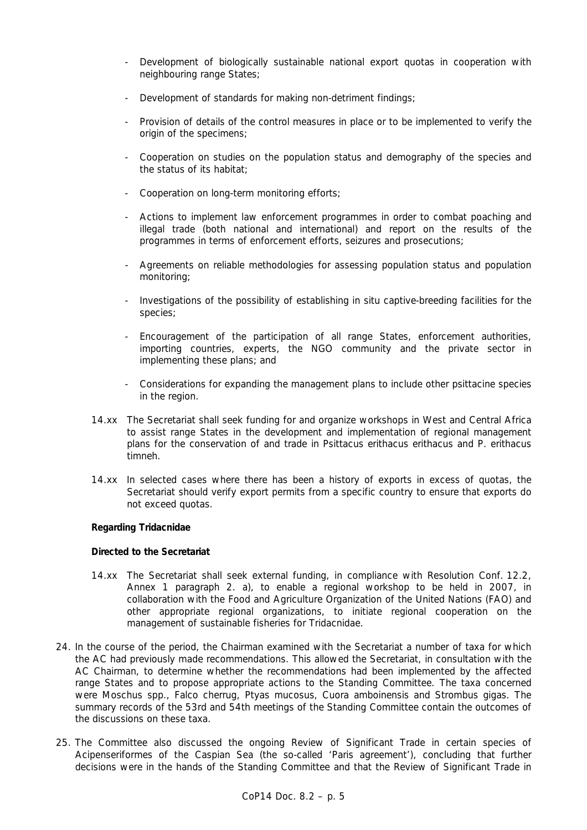- Development of biologically sustainable national export quotas in cooperation with neighbouring range States;
- Development of standards for making non-detriment findings;
- Provision of details of the control measures in place or to be implemented to verify the origin of the specimens;
- Cooperation on studies on the population status and demography of the species and the status of its habitat;
- Cooperation on long-term monitoring efforts;
- Actions to implement law enforcement programmes in order to combat poaching and illegal trade (both national and international) and report on the results of the programmes in terms of enforcement efforts, seizures and prosecutions;
- Agreements on reliable methodologies for assessing population status and population monitoring;
- Investigations of the possibility of establishing *in situ* captive-breeding facilities for the species;
- Encouragement of the participation of all range States, enforcement authorities, importing countries, experts, the NGO community and the private sector in implementing these plans; and
- Considerations for expanding the management plans to include other psittacine species in the region.
- 14.xx The Secretariat shall seek funding for and organize workshops in West and Central Africa to assist range States in the development and implementation of regional management plans for the conservation of and trade in *Psittacus erithacus erithacus* and *P. erithacus timneh*.
- 14.xx In selected cases where there has been a history of exports in excess of quotas, the Secretariat should verify export permits from a specific country to ensure that exports do not exceed quotas.

## **Regarding Tridacnidae**

#### *Directed to the Secretariat*

- 14.xx The Secretariat shall seek external funding, in compliance with Resolution Conf. 12.2, Annex 1 paragraph 2. a), to enable a regional workshop to be held in 2007, in collaboration with the Food and Agriculture Organization of the United Nations (FAO) and other appropriate regional organizations, to initiate regional cooperation on the management of sustainable fisheries for Tridacnidae.
- 24. In the course of the period, the Chairman examined with the Secretariat a number of taxa for which the AC had previously made recommendations. This allowed the Secretariat, in consultation with the AC Chairman, to determine whether the recommendations had been implemented by the affected range States and to propose appropriate actions to the Standing Committee. The taxa concerned were *Moschus* spp., *Falco cherrug, Ptyas mucosus*, *Cuora amboinensis* and *Strombus gigas.* The summary records of the 53rd and 54th meetings of the Standing Committee contain the outcomes of the discussions on these taxa.
- 25. The Committee also discussed the ongoing Review of Significant Trade in certain species of Acipenseriformes of the Caspian Sea (the so-called 'Paris agreement'), concluding that further decisions were in the hands of the Standing Committee and that the Review of Significant Trade in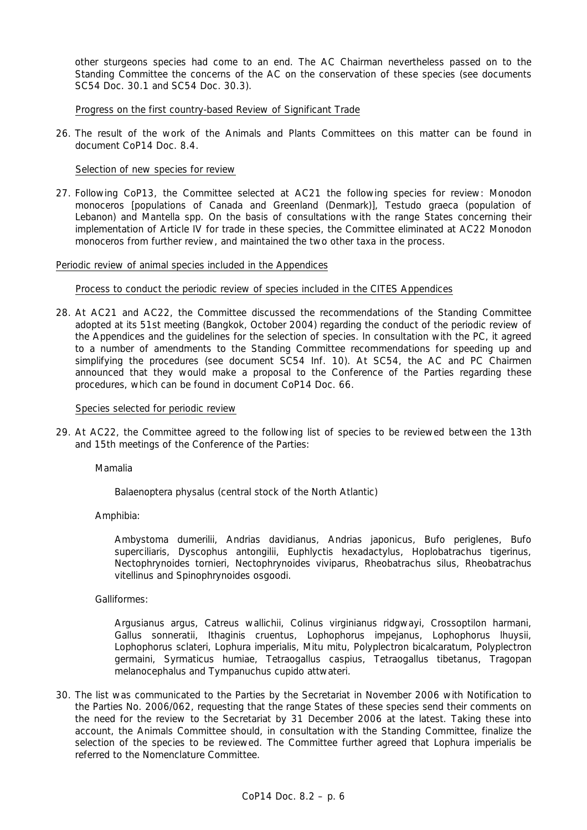other sturgeons species had come to an end. The AC Chairman nevertheless passed on to the Standing Committee the concerns of the AC on the conservation of these species (see documents SC54 Doc. 30.1 and SC54 Doc. 30.3).

Progress on the first country-based Review of Significant Trade

26. The result of the work of the Animals and Plants Committees on this matter can be found in document CoP14 Doc. 8.4.

### Selection of new species for review

27. Following CoP13, the Committee selected at AC21 the following species for review: *Monodon monoceros* [populations of Canada and Greenland (Denmark)], *Testudo graeca* (population of Lebanon) and *Mantella* spp. On the basis of consultations with the range States concerning their implementation of Article IV for trade in these species, the Committee eliminated at AC22 *Monodon monoceros* from further review, and maintained the two other taxa in the process.

#### Periodic review of animal species included in the Appendices

### Process to conduct the periodic review of species included in the CITES Appendices

28. At AC21 and AC22, the Committee discussed the recommendations of the Standing Committee adopted at its 51st meeting (Bangkok, October 2004) regarding the conduct of the periodic review of the Appendices and the guidelines for the selection of species. In consultation with the PC, it agreed to a number of amendments to the Standing Committee recommendations for speeding up and simplifying the procedures (see document SC54 Inf. 10). At SC54, the AC and PC Chairmen announced that they would make a proposal to the Conference of the Parties regarding these procedures, which can be found in document CoP14 Doc. 66.

#### Species selected for periodic review

29. At AC22, the Committee agreed to the following list of species to be reviewed between the 13th and 15th meetings of the Conference of the Parties:

Mamalia

*Balaenoptera physalus* (central stock of the North Atlantic)

Amphibia:

*Ambystoma dumerilii, Andrias davidianus, Andrias japonicus, Bufo periglenes, Bufo superciliaris, Dyscophus antongilii, Euphlyctis hexadactylus, Hoplobatrachus tigerinus, Nectophrynoides tornieri, Nectophrynoides viviparus, Rheobatrachus silus, Rheobatrachus vitellinus* and *Spinophrynoides osgoodi*.

#### Galliformes:

*Argusianus argus, Catreus wallichii, Colinus virginianus ridgwayi, Crossoptilon harmani, Gallus sonneratii, Ithaginis cruentus, Lophophorus impejanus, Lophophorus lhuysii, Lophophorus sclateri, Lophura imperialis, Mitu mitu, Polyplectron bicalcaratum, Polyplectron germaini, Syrmaticus humiae, Tetraogallus caspius, Tetraogallus tibetanus, Tragopan melanocephalus* and *Tympanuchus cupido attwateri*.

30. The list was communicated to the Parties by the Secretariat in November 2006 with Notification to the Parties No. 2006/062, requesting that the range States of these species send their comments on the need for the review to the Secretariat by 31 December 2006 at the latest. Taking these into account, the Animals Committee should, in consultation with the Standing Committee, finalize the selection of the species to be reviewed. The Committee further agreed that *Lophura imperialis* be referred to the Nomenclature Committee.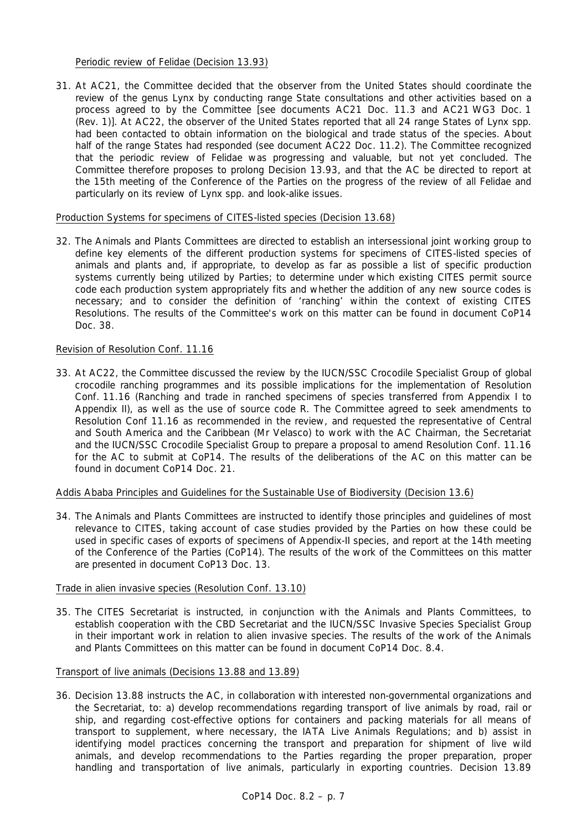### Periodic review of Felidae (Decision 13.93)

31. At AC21, the Committee decided that the observer from the United States should coordinate the review of the genus *Lynx* by conducting range State consultations and other activities based on a process agreed to by the Committee [see documents AC21 Doc. 11.3 and AC21 WG3 Doc. 1 (Rev. 1)]. At AC22, the observer of the United States reported that all 24 range States of *Lynx* spp. had been contacted to obtain information on the biological and trade status of the species. About half of the range States had responded (see document AC22 Doc. 11.2). The Committee recognized that the periodic review of Felidae was progressing and valuable, but not yet concluded. The Committee therefore proposes to prolong Decision 13.93, and that the AC be directed to report at the 15th meeting of the Conference of the Parties on the progress of the review of all Felidae and particularly on its review of *Lynx* spp. and look-alike issues.

### Production Systems for specimens of CITES-listed species (Decision 13.68)

32. The Animals and Plants Committees are directed to establish an intersessional joint working group to define key elements of the different production systems for specimens of CITES-listed species of animals and plants and, if appropriate, to develop as far as possible a list of specific production systems currently being utilized by Parties; to determine under which existing CITES permit source code each production system appropriately fits and whether the addition of any new source codes is necessary; and to consider the definition of 'ranching' within the context of existing CITES Resolutions. The results of the Committee's work on this matter can be found in document CoP14 Doc. 38.

## Revision of Resolution Conf. 11.16

33. At AC22, the Committee discussed the review by the IUCN/SSC Crocodile Specialist Group of global crocodile ranching programmes and its possible implications for the implementation of Resolution Conf. 11.16 (Ranching and trade in ranched specimens of species transferred from Appendix I to Appendix II), as well as the use of source code R. The Committee agreed to seek amendments to Resolution Conf 11.16 as recommended in the review, and requested the representative of Central and South America and the Caribbean (Mr Velasco) to work with the AC Chairman, the Secretariat and the IUCN/SSC Crocodile Specialist Group to prepare a proposal to amend Resolution Conf. 11.16 for the AC to submit at CoP14. The results of the deliberations of the AC on this matter can be found in document CoP14 Doc. 21.

## Addis Ababa Principles and Guidelines for the Sustainable Use of Biodiversity (Decision 13.6)

34. The Animals and Plants Committees are instructed to identify those principles and guidelines of most relevance to CITES, taking account of case studies provided by the Parties on how these could be used in specific cases of exports of specimens of Appendix-II species, and report at the 14th meeting of the Conference of the Parties (CoP14). The results of the work of the Committees on this matter are presented in document CoP13 Doc. 13.

## Trade in alien invasive species (Resolution Conf. 13.10)

35. The CITES Secretariat is instructed, in conjunction with the Animals and Plants Committees, to establish cooperation with the CBD Secretariat and the IUCN/SSC Invasive Species Specialist Group in their important work in relation to alien invasive species. The results of the work of the Animals and Plants Committees on this matter can be found in document CoP14 Doc. 8.4.

## Transport of live animals (Decisions 13.88 and 13.89)

36. Decision 13.88 instructs the AC, in collaboration with interested non-governmental organizations and the Secretariat, to: a) develop recommendations regarding transport of live animals by road, rail or ship, and regarding cost-effective options for containers and packing materials for all means of transport to supplement, where necessary, the *IATA Live Animals Regulations*; and b) assist in identifying model practices concerning the transport and preparation for shipment of live wild animals, and develop recommendations to the Parties regarding the proper preparation, proper handling and transportation of live animals, particularly in exporting countries. Decision 13.89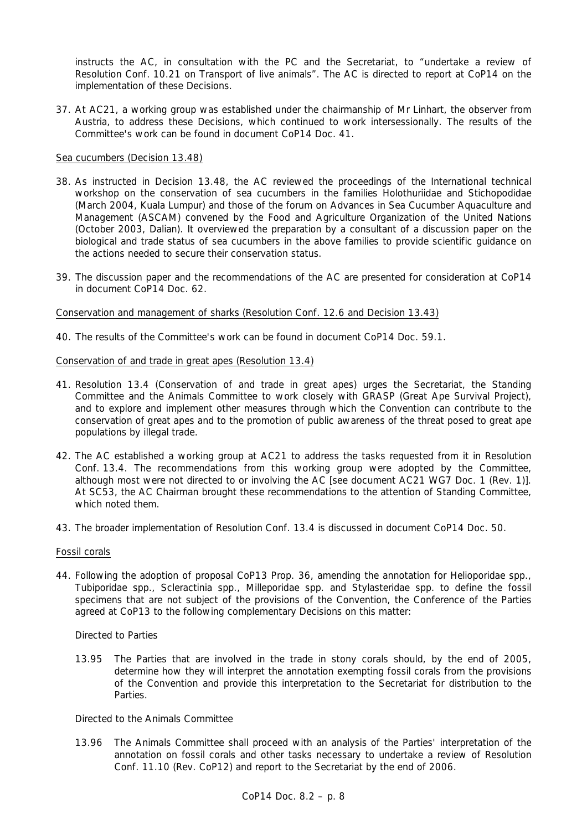instructs the AC, in consultation with the PC and the Secretariat, to "undertake a review of Resolution Conf. 10.21 on Transport of live animals". The AC is directed to report at CoP14 on the implementation of these Decisions.

37. At AC21, a working group was established under the chairmanship of Mr Linhart, the observer from Austria, to address these Decisions, which continued to work intersessionally. The results of the Committee's work can be found in document CoP14 Doc. 41.

### Sea cucumbers (Decision 13.48)

- 38. As instructed in Decision 13.48, the AC reviewed the proceedings of the International technical workshop on the conservation of sea cucumbers in the families Holothuriidae and Stichopodidae (March 2004, Kuala Lumpur) and those of the forum on Advances in Sea Cucumber Aquaculture and Management (ASCAM) convened by the Food and Agriculture Organization of the United Nations (October 2003, Dalian). It overviewed the preparation by a consultant of a discussion paper on the biological and trade status of sea cucumbers in the above families to provide scientific guidance on the actions needed to secure their conservation status.
- 39. The discussion paper and the recommendations of the AC are presented for consideration at CoP14 in document CoP14 Doc. 62.

#### Conservation and management of sharks (Resolution Conf. 12.6 and Decision 13.43)

40. The results of the Committee's work can be found in document CoP14 Doc. 59.1.

## Conservation of and trade in great apes (Resolution 13.4)

- 41. Resolution 13.4 (Conservation of and trade in great apes) urges the Secretariat, the Standing Committee and the Animals Committee to work closely with GRASP (Great Ape Survival Project), and to explore and implement other measures through which the Convention can contribute to the conservation of great apes and to the promotion of public awareness of the threat posed to great ape populations by illegal trade.
- 42. The AC established a working group at AC21 to address the tasks requested from it in Resolution Conf. 13.4. The recommendations from this working group were adopted by the Committee, although most were not directed to or involving the AC [see document AC21 WG7 Doc. 1 (Rev. 1)]. At SC53, the AC Chairman brought these recommendations to the attention of Standing Committee, which noted them.
- 43. The broader implementation of Resolution Conf. 13.4 is discussed in document CoP14 Doc. 50.

#### Fossil corals

44. Following the adoption of proposal CoP13 Prop. 36, amending the annotation for Helioporidae spp., Tubiporidae spp., Scleractinia spp., Milleporidae spp. and Stylasteridae spp. to define the fossil specimens that are not subject of the provisions of the Convention, the Conference of the Parties agreed at CoP13 to the following complementary Decisions on this matter:

#### *Directed to Parties*

*13.95 The Parties that are involved in the trade in stony corals should, by the end of 2005, determine how they will interpret the annotation exempting fossil corals from the provisions of the Convention and provide this interpretation to the Secretariat for distribution to the Parties.* 

### *Directed to the Animals Committee*

*13.96 The Animals Committee shall proceed with an analysis of the Parties' interpretation of the annotation on fossil corals and other tasks necessary to undertake a review of Resolution Conf. 11.10 (Rev. CoP12) and report to the Secretariat by the end of 2006.*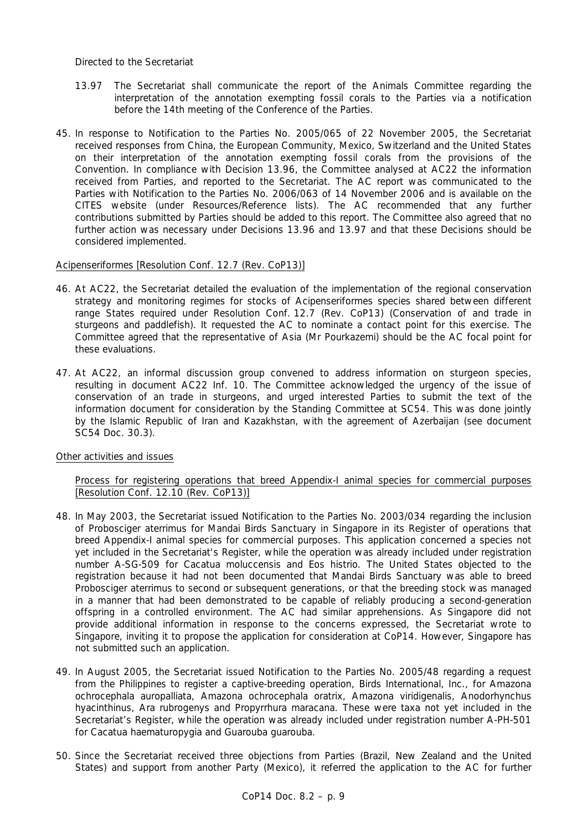### *Directed to the Secretariat*

- *13.97 The Secretariat shall communicate the report of the Animals Committee regarding the interpretation of the annotation exempting fossil corals to the Parties via a notification before the 14th meeting of the Conference of the Parties.*
- 45. In response to Notification to the Parties No. 2005/065 of 22 November 2005, the Secretariat received responses from China, the European Community, Mexico, Switzerland and the United States on their interpretation of the annotation exempting fossil corals from the provisions of the Convention. In compliance with Decision 13.96, the Committee analysed at AC22 the information received from Parties, and reported to the Secretariat. The AC report was communicated to the Parties with Notification to the Parties No. 2006/063 of 14 November 2006 and is available on the CITES website (under Resources/Reference lists). The AC recommended that any further contributions submitted by Parties should be added to this report. The Committee also agreed that no further action was necessary under Decisions 13.96 and 13.97 and that these Decisions should be considered implemented.

## Acipenseriformes [Resolution Conf. 12.7 (Rev. CoP13)]

- 46. At AC22, the Secretariat detailed the evaluation of the implementation of the regional conservation strategy and monitoring regimes for stocks of Acipenseriformes species shared between different range States required under Resolution Conf. 12.7 (Rev. CoP13) (Conservation of and trade in sturgeons and paddlefish). It requested the AC to nominate a contact point for this exercise. The Committee agreed that the representative of Asia (Mr Pourkazemi) should be the AC focal point for these evaluations.
- 47. At AC22, an informal discussion group convened to address information on sturgeon species, resulting in document AC22 Inf. 10. The Committee acknowledged the urgency of the issue of conservation of an trade in sturgeons, and urged interested Parties to submit the text of the information document for consideration by the Standing Committee at SC54. This was done jointly by the Islamic Republic of Iran and Kazakhstan, with the agreement of Azerbaijan (see document SC54 Doc. 30.3).

#### Other activities and issues

### Process for registering operations that breed Appendix-I animal species for commercial purposes [Resolution Conf. 12.10 (Rev. CoP13)]

- 48. In May 2003, the Secretariat issued Notification to the Parties No. 2003/034 regarding the inclusion of *Probosciger aterrimus* for Mandai Birds Sanctuary in Singapore in its Register of operations that breed Appendix-I animal species for commercial purposes. This application concerned a species not yet included in the Secretariat's Register, while the operation was already included under registration number A-SG-509 for *Cacatua moluccensis* and *Eos histrio*. The United States objected to the registration because it had not been documented that Mandai Birds Sanctuary was able to breed *Probosciger aterrimus* to second or subsequent generations, or that the breeding stock was managed in a manner that had been demonstrated to be capable of reliably producing a second-generation offspring in a controlled environment. The AC had similar apprehensions. As Singapore did not provide additional information in response to the concerns expressed, the Secretariat wrote to Singapore, inviting it to propose the application for consideration at CoP14. However, Singapore has not submitted such an application.
- 49. In August 2005, the Secretariat issued Notification to the Parties No. 2005/48 regarding a request from the Philippines to register a captive-breeding operation, Birds International, Inc., for *Amazona ochrocephala auropalliata*, *Amazona ochrocephala oratrix*, *Amazona viridigenalis*, *Anodorhynchus hyacinthinus*, *Ara rubrogenys* and *Propyrrhura maracana*. These were taxa not yet included in the Secretariat's Register, while the operation was already included under registration number A-PH-501 for *Cacatua haematuropygia* and *Guarouba guarouba*.
- 50. Since the Secretariat received three objections from Parties (Brazil, New Zealand and the United States) and support from another Party (Mexico), it referred the application to the AC for further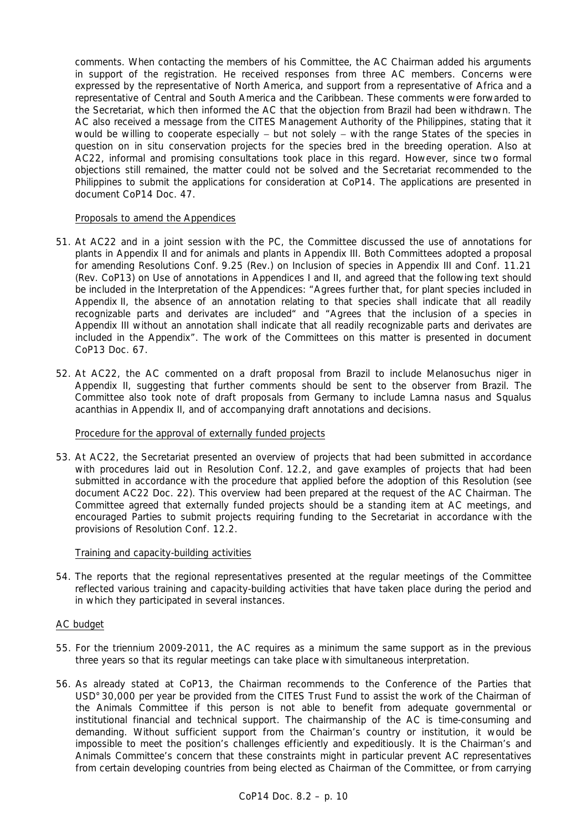comments. When contacting the members of his Committee, the AC Chairman added his arguments in support of the registration. He received responses from three AC members. Concerns were expressed by the representative of North America, and support from a representative of Africa and a representative of Central and South America and the Caribbean. These comments were forwarded to the Secretariat, which then informed the AC that the objection from Brazil had been withdrawn. The AC also received a message from the CITES Management Authority of the Philippines, stating that it would be willing to cooperate especially – but not solely – with the range States of the species in question on *in situ* conservation projects for the species bred in the breeding operation. Also at AC22, informal and promising consultations took place in this regard. However, since two formal objections still remained, the matter could not be solved and the Secretariat recommended to the Philippines to submit the applications for consideration at CoP14. The applications are presented in document CoP14 Doc. 47.

### Proposals to amend the Appendices

- 51. At AC22 and in a joint session with the PC, the Committee discussed the use of annotations for plants in Appendix II and for animals and plants in Appendix III. Both Committees adopted a proposal for amending Resolutions Conf. 9.25 (Rev.) on Inclusion of species in Appendix III and Conf. 11.21 (Rev. CoP13) on Use of annotations in Appendices I and II, and agreed that the following text should be included in the Interpretation of the Appendices: "Agrees further that, for plant species included in Appendix II, the absence of an annotation relating to that species shall indicate that all readily recognizable parts and derivates are included" and "Agrees that the inclusion of a species in Appendix III without an annotation shall indicate that all readily recognizable parts and derivates are included in the Appendix". The work of the Committees on this matter is presented in document CoP13 Doc. 67.
- 52. At AC22, the AC commented on a draft proposal from Brazil to include *Melanosuchus niger* in Appendix II, suggesting that further comments should be sent to the observer from Brazil. The Committee also took note of draft proposals from Germany to include *Lamna nasus* and *Squalus acanthias* in Appendix II, and of accompanying draft annotations and decisions.

#### Procedure for the approval of externally funded projects

53. At AC22, the Secretariat presented an overview of projects that had been submitted in accordance with procedures laid out in Resolution Conf. 12.2, and gave examples of projects that had been submitted in accordance with the procedure that applied before the adoption of this Resolution (see document AC22 Doc. 22). This overview had been prepared at the request of the AC Chairman. The Committee agreed that externally funded projects should be a standing item at AC meetings, and encouraged Parties to submit projects requiring funding to the Secretariat in accordance with the provisions of Resolution Conf. 12.2.

#### Training and capacity-building activities

54. The reports that the regional representatives presented at the regular meetings of the Committee reflected various training and capacity-building activities that have taken place during the period and in which they participated in several instances.

#### AC budget

- 55. For the triennium 2009-2011, the AC requires as a minimum the same support as in the previous three years so that its regular meetings can take place with simultaneous interpretation.
- 56. As already stated at CoP13, the Chairman recommends to the Conference of the Parties that USD°30,000 per year be provided from the CITES Trust Fund to assist the work of the Chairman of the Animals Committee if this person is not able to benefit from adequate governmental or institutional financial and technical support. The chairmanship of the AC is time-consuming and demanding. Without sufficient support from the Chairman's country or institution, it would be impossible to meet the position's challenges efficiently and expeditiously. It is the Chairman's and Animals Committee's concern that these constraints might in particular prevent AC representatives from certain developing countries from being elected as Chairman of the Committee, or from carrying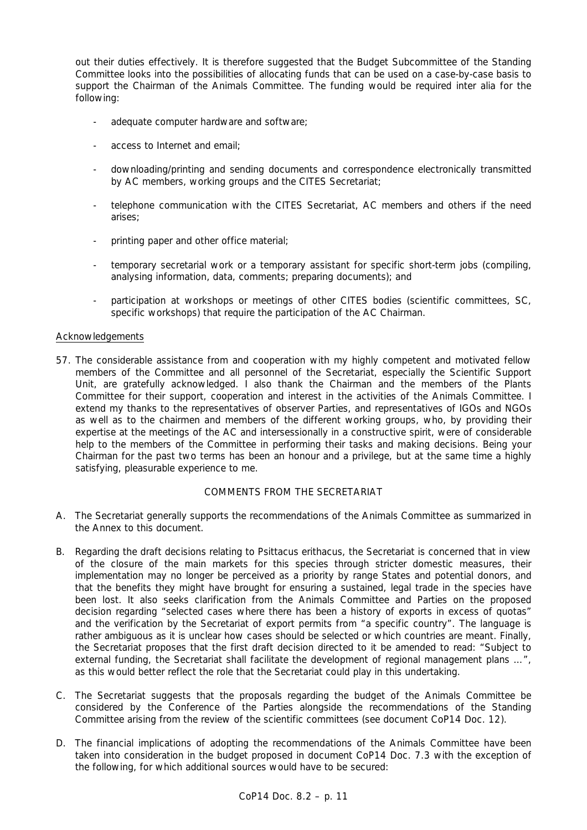out their duties effectively. It is therefore suggested that the Budget Subcommittee of the Standing Committee looks into the possibilities of allocating funds that can be used on a case-by-case basis to support the Chairman of the Animals Committee. The funding would be required *inter alia* for the following:

- adequate computer hardware and software;
- access to Internet and email;
- downloading/printing and sending documents and correspondence electronically transmitted by AC members, working groups and the CITES Secretariat;
- telephone communication with the CITES Secretariat, AC members and others if the need arises;
- printing paper and other office material;
- temporary secretarial work or a temporary assistant for specific short-term jobs (compiling, analysing information, data, comments; preparing documents); and
- participation at workshops or meetings of other CITES bodies (scientific committees, SC, specific workshops) that require the participation of the AC Chairman.

## Acknowledgements

57. The considerable assistance from and cooperation with my highly competent and motivated fellow members of the Committee and all personnel of the Secretariat, especially the Scientific Support Unit, are gratefully acknowledged. I also thank the Chairman and the members of the Plants Committee for their support, cooperation and interest in the activities of the Animals Committee. I extend my thanks to the representatives of observer Parties, and representatives of IGOs and NGOs as well as to the chairmen and members of the different working groups, who, by providing their expertise at the meetings of the AC and intersessionally in a constructive spirit, were of considerable help to the members of the Committee in performing their tasks and making decisions. Being your Chairman for the past two terms has been an honour and a privilege, but at the same time a highly satisfying, pleasurable experience to me.

## COMMENTS FROM THE SECRETARIAT

- A. The Secretariat generally supports the recommendations of the Animals Committee as summarized in the Annex to this document.
- B. Regarding the draft decisions relating to *Psittacus erithacus*, the Secretariat is concerned that in view of the closure of the main markets for this species through stricter domestic measures, their implementation may no longer be perceived as a priority by range States and potential donors, and that the benefits they might have brought for ensuring a sustained, legal trade in the species have been lost. It also seeks clarification from the Animals Committee and Parties on the proposed decision regarding "selected cases where there has been a history of exports in excess of quotas" and the verification by the Secretariat of export permits from "a specific country". The language is rather ambiguous as it is unclear how cases should be selected or which countries are meant. Finally, the Secretariat proposes that the first draft decision directed to it be amended to read: "Subject to external funding, the Secretariat shall facilitate the development of regional management plans …", as this would better reflect the role that the Secretariat could play in this undertaking.
- C. The Secretariat suggests that the proposals regarding the budget of the Animals Committee be considered by the Conference of the Parties alongside the recommendations of the Standing Committee arising from the review of the scientific committees (see document CoP14 Doc. 12).
- D. The financial implications of adopting the recommendations of the Animals Committee have been taken into consideration in the budget proposed in document CoP14 Doc. 7.3 with the exception of the following, for which additional sources would have to be secured: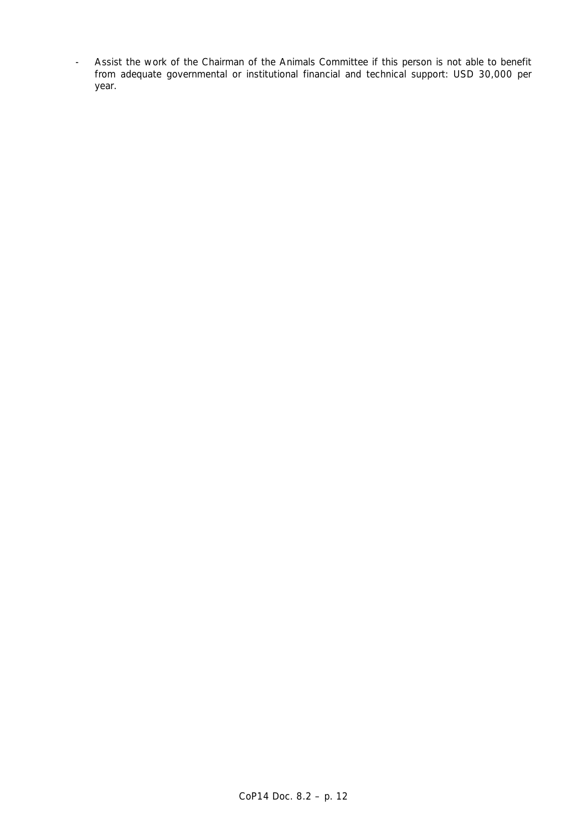- Assist the work of the Chairman of the Animals Committee if this person is not able to benefit from adequate governmental or institutional financial and technical support: USD 30,000 per year.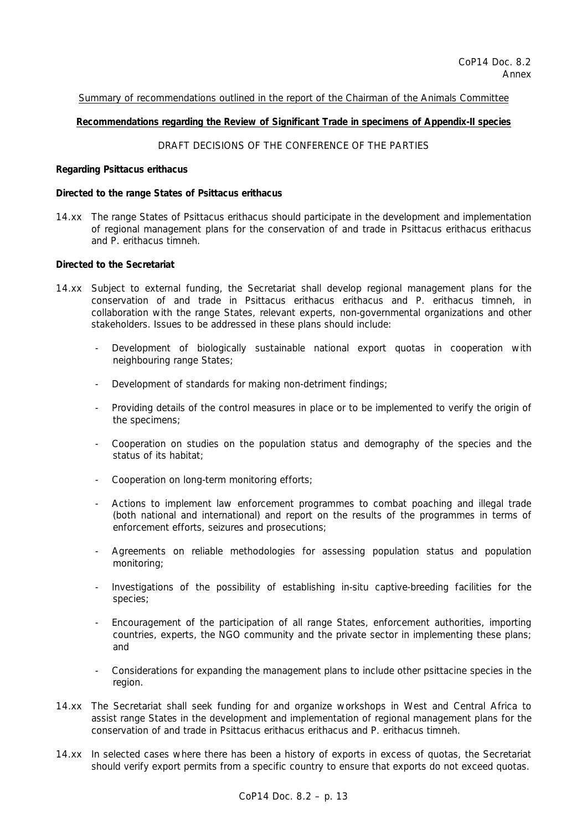Summary of recommendations outlined in the report of the Chairman of the Animals Committee

#### **Recommendations regarding the Review of Significant Trade in specimens of Appendix-II species**

# DRAFT DECISIONS OF THE CONFERENCE OF THE PARTIES

#### **Regarding** *Psittacus erithacus*

#### *Directed to the range States of* **Psittacus erithacus**

14.xx The range States of *Psittacus erithacus* should participate in the development and implementation of regional management plans for the conservation of and trade in *Psittacus erithacus erithacus* and *P. erithacus timneh*.

#### *Directed to the Secretariat*

- 14.xx Subject to external funding, the Secretariat shall develop regional management plans for the conservation of and trade in *Psittacus erithacus erithacus* and *P. erithacus timneh*, in collaboration with the range States, relevant experts, non-governmental organizations and other stakeholders. Issues to be addressed in these plans should include:
	- Development of biologically sustainable national export quotas in cooperation with neighbouring range States;
	- Development of standards for making non-detriment findings;
	- Providing details of the control measures in place or to be implemented to verify the origin of the specimens;
	- Cooperation on studies on the population status and demography of the species and the status of its habitat;
	- Cooperation on long-term monitoring efforts;
	- Actions to implement law enforcement programmes to combat poaching and illegal trade (both national and international) and report on the results of the programmes in terms of enforcement efforts, seizures and prosecutions;
	- Agreements on reliable methodologies for assessing population status and population monitoring;
	- Investigations of the possibility of establishing *in-situ* captive-breeding facilities for the species;
	- Encouragement of the participation of all range States, enforcement authorities, importing countries, experts, the NGO community and the private sector in implementing these plans; and
	- Considerations for expanding the management plans to include other psittacine species in the region.
- 14.xx The Secretariat shall seek funding for and organize workshops in West and Central Africa to assist range States in the development and implementation of regional management plans for the conservation of and trade in *Psittacus erithacus erithacus* and *P. erithacus timneh*.
- 14.xx In selected cases where there has been a history of exports in excess of quotas, the Secretariat should verify export permits from a specific country to ensure that exports do not exceed quotas.